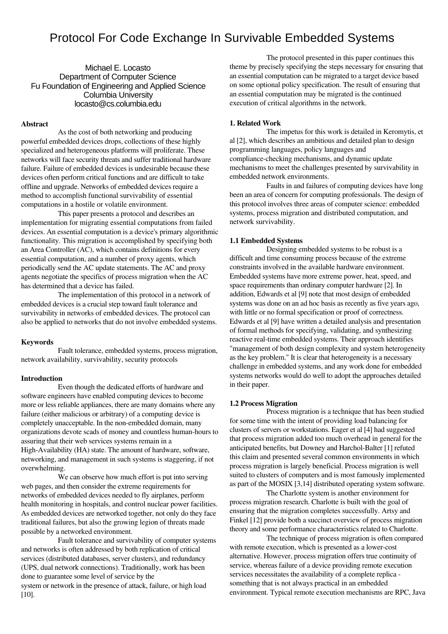# Protocol For Code Exchange In Survivable Embedded Systems

Michael E. Locasto Department of Computer Science Fu Foundation of Engineering and Applied Science Columbia University locasto@cs.columbia.edu

#### Abstract

As the cost of both networking and producing powerful embedded devices drops, collections of these highly specialized and heterogeneous platforms will proliferate. These networks will face security threats and suffer traditional hardware failure. Failure of embedded devices is undesirable because these devices often perform critical functions and are difficult to take offline and upgrade. Networks of embedded devices require a method to accomplish functional survivability of essential computations in a hostile or volatile environment.

This paper presents a protocol and describes an implementation for migrating essential computations from failed devices. An essential computation is a device's primary algorithmic functionality. This migration is accomplished by specifying both an Area Controller (AC), which contains definitions for every essential computation, and a number of proxy agents, which periodically send the AC update statements. The AC and proxy agents negotiate the specifics of process migration when the AC has determined that a device has failed.

The implementation of this protocol in a network of embedded devices is a crucial step toward fault tolerance and survivability in networks of embedded devices. The protocol can also be applied to networks that do not involve embedded systems.

#### Keywords

Fault tolerance, embedded systems, process migration, network availability, survivability, security protocols

#### Introduction

Even though the dedicated efforts of hardware and software engineers have enabled computing devices to become more or less reliable appliances, there are many domains where any failure (either malicious or arbitrary) of a computing device is completely unacceptable. In the non-embedded domain, many organizations devote scads of money and countless human-hours to assuring that their web services systems remain in a High-Availability (HA) state. The amount of hardware, software, networking, and management in such systems is staggering, if not overwhelming.

We can observe how much effort is put into serving web pages, and then consider the extreme requirements for networks of embedded devices needed to fly airplanes, perform health monitoring in hospitals, and control nuclear power facilities. As embedded devices are networked together, not only do they face traditional failures, but also the growing legion of threats made possible by a networked environment.

Fault tolerance and survivability of computer systems and networks is often addressed by both replication of critical services (distributed databases, server clusters), and redundancy (UPS, dual network connections). Traditionally, work has been done to guarantee some level of service by the system or network in the presence of attack, failure, or high load [10].

The protocol presented in this paper continues this theme by precisely specifying the steps necessary for ensuring that an essential computation can be migrated to a target device based on some optional policy specification. The result of ensuring that an essential computation may be migrated is the continued execution of critical algorithms in the network.

#### 1. Related Work

The impetus for this work is detailed in Keromytis, et al [2], which describes an ambitious and detailed plan to design programming languages, policy languages and compliance-checking mechanisms, and dynamic update mechanisms to meet the challenges presented by survivability in embedded network environments.

Faults in and failures of computing devices have long been an area of concern for computing professionals. The design of this protocol involves three areas of computer science: embedded systems, process migration and distributed computation, and network survivability.

#### 1.1 Embedded Systems

Designing embedded systems to be robust is a difficult and time consuming process because of the extreme constraints involved in the available hardware environment. Embedded systems have more extreme power, heat, speed, and space requirements than ordinary computer hardware [2]. In addition, Edwards et al [9] note that most design of embedded systems was done on an ad hoc basis as recently as five years ago, with little or no formal specification or proof of correctness. Edwards et al [9] have written a detailed analysis and presentation of formal methods for specifying, validating, and synthesizing reactive real-time embedded systems. Their approach identifies "management of both design complexity and system heterogeneity as the key problem." It is clear that heterogeneity is a necessary challenge in embedded systems, and any work done for embedded systems networks would do well to adopt the approaches detailed in their paper.

#### 1.2 Process Migration

Process migration is a technique that has been studied for some time with the intent of providing load balancing for clusters of servers or workstations. Eager et al [4] had suggested that process migration added too much overhead in general for the anticipated benefits, but Downey and Harchol-Balter [1] refuted this claim and presented several common environments in which process migration is largely beneficial. Process migration is well suited to clusters of computers and is most famously implemented as part of the MOSIX [3,14] distributed operating system software.

The Charlotte system is another environment for process migration research. Charlotte is built with the goal of ensuring that the migration completes successfully. Artsy and Finkel [12] provide both a succinct overview of process migration theory and some performance characteristics related to Charlotte.

The technique of process migration is often compared with remote execution, which is presented as a lower-cost alternative. However, process migration offers true continuity of service, whereas failure of a device providing remote execution services necessitates the availability of a complete replica something that is not always practical in an embedded environment. Typical remote execution mechanisms are RPC, Java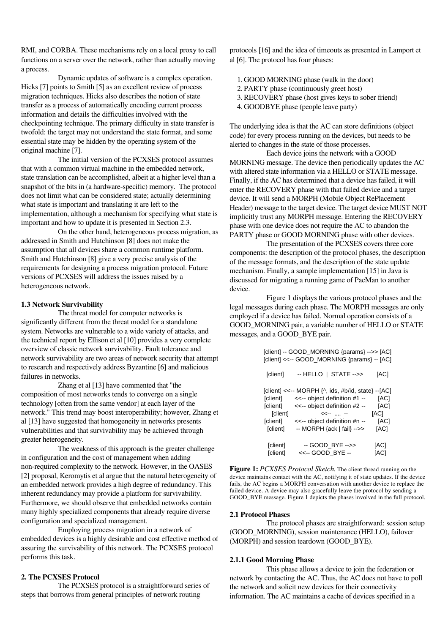RMI, and CORBA. These mechanisms rely on a local proxy to call functions on a server over the network, rather than actually moving a process.

Dynamic updates of software is a complex operation. Hicks [7] points to Smith [5] as an excellent review of process migration techniques. Hicks also describes the notion of state transfer as a process of automatically encoding current process information and details the difficulties involved with the checkpointing technique. The primary difficulty in state transfer is twofold: the target may not understand the state format, and some essential state may be hidden by the operating system of the original machine [7].

The initial version of the PCXSES protocol assumes that with a common virtual machine in the embedded network, state translation can be accomplished, albeit at a higher level than a snapshot of the bits in (a hardware-specific) memory. The protocol does not limit what can be considered state; actually determining what state is important and translating it are left to the implementation, although a mechanism for specifying what state is important and how to update it is presented in Section 2.3.

On the other hand, heterogeneous process migration, as addressed in Smith and Hutchinson [8] does not make the assumption that all devices share a common runtime platform. Smith and Hutchinson [8] give a very precise analysis of the requirements for designing a process migration protocol. Future versions of PCXSES will address the issues raised by a heterogeneous network.

### 1.3 Network Survivability

The threat model for computer networks is significantly different from the threat model for a standalone system. Networks are vulnerable to a wide variety of attacks, and the technical report by Ellison et al [10] provides a very complete overview of classic network survivability. Fault tolerance and network survivability are two areas of network security that attempt to research and respectively address Byzantine [6] and malicious failures in networks.

Zhang et al [13] have commented that "the composition of most networks tends to converge on a single technology [often from the same vendor] at each layer of the network." This trend may boost interoperability; however, Zhang et al [13] have suggested that homogeneity in networks presents vulnerabilities and that survivability may be achieved through greater heterogeneity.

The weakness of this approach is the greater challenge in configuration and the cost of management when adding non-required complexity to the network. However, in the OASES [2] proposal, Keromytis et al argue that the natural heterogeneity of an embedded network provides a high degree of redundancy. This inherent redundancy may provide a platform for survivability. Furthermore, we should observe that embedded networks contain many highly specialized components that already require diverse configuration and specialized management.

Employing process migration in a network of embedded devices is a highly desirable and cost effective method of assuring the survivability of this network. The PCXSES protocol performs this task.

#### 2. The PCXSES Protocol

The PCXSES protocol is a straightforward series of steps that borrows from general principles of network routing

protocols [16] and the idea of timeouts as presented in Lamport et al [6]. The protocol has four phases:

- 1. GOOD MORNING phase (walk in the door)
- 2.PARTY phase (continuously greet host)
- 3. RECOVERY phase (host gives keys to sober friend)
- 4. GOODBYE phase (people leave party)

The underlying idea is that the AC can store definitions (object code) for every process running on the devices, but needs to be alerted to changes in the state of those processes.

Each device joins the network with a GOOD MORNING message. The device then periodically updates the AC with altered state information via a HELLO or STATE message. Finally, if the AC has determined that a device has failed, it will enter the RECOVERY phase with that failed device and a target device. It will send a MORPH (Mobile Object RePlacement Header) message to the target device. The target device MUST NOT implicitly trust any MORPH message. Entering the RECOVERY phase with one device does not require the AC to abandon the PARTY phase or GOOD MORNING phase with other devices.

The presentation of the PCXSES covers three core components: the description of the protocol phases, the description of the message formats, and the description of the state update mechanism. Finally, a sample implementation [15] in Java is discussed for migrating a running game of PacMan to another device.

Figure 1 displays the various protocol phases and the legal messages during each phase. The MORPH messages are only employed if a device has failed. Normal operation consists of a GOOD\_MORNING pair, a variable number of HELLO or STATE messages, and a GOOD\_BYE pair.

| [client] -- GOOD_MORNING {params} -->> [AC]<br>[client] <<-- GOOD MORNING {params} -- [AC] |                                                                                                                                                                                                |                                      |
|--------------------------------------------------------------------------------------------|------------------------------------------------------------------------------------------------------------------------------------------------------------------------------------------------|--------------------------------------|
| [client]                                                                                   | -- HELLO   STATE -->>                                                                                                                                                                          | [AC]                                 |
| [client]<br>[client]<br>[client]<br>[client]<br>[client]                                   | [client] <<-- MORPH {^, ids, #b/id, state} --[AC]<br><<-- object definition #1 --<br><<-- object definition #2 --<br><<--  --<br><<-- object definition #n --<br>$-$ MORPH {ack   fail} $-$ >> | [AC]<br>[AC]<br>[AC]<br>[AC]<br>[AC] |
| [client]<br>[client]                                                                       | -- GOOD_BYE -->><br><<-- GOOD BYE --                                                                                                                                                           | [AC]<br>[AC]                         |

Figure 1: *PCXSES Protocol Sketch.* The client thread running on the device maintains contact with the AC, notifying it of state updates. If the device fails, the AC begins a MORPH conversation with another device to replace the failed device. A device may also gracefully leave the protocol by sending a GOOD\_BYE message. Figure 1 depicts the phases involved in the full protocol.

#### 2.1 Protocol Phases

The protocol phases are straightforward: session setup (GOOD\_MORNING), session maintenance (HELLO), failover (MORPH) and session teardown (GOOD\_BYE).

#### 2.1.1 Good Morning Phase

This phase allows a device to join the federation or network by contacting the AC. Thus, the AC does not have to poll the network and solicit new devices for their connectivity information. The AC maintains a cache of devices specified in a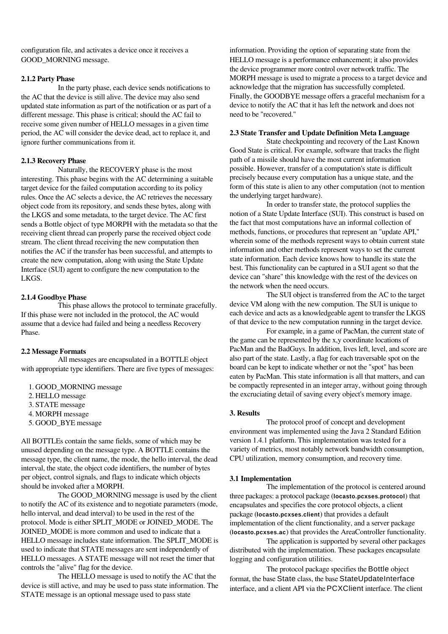configuration file, and activates a device once it receives a GOOD\_MORNING message.

# 2.1.2 Party Phase

In the party phase, each device sends notifications to the AC that the device is still alive. The device may also send updated state information as part of the notification or as part of a different message. This phase is critical; should the AC fail to receive some given number of HELLO messages in a given time period, the AC will consider the device dead, act to replace it, and ignore further communications from it.

# 2.1.3 Recovery Phase

Naturally, the RECOVERY phase is the most interesting. This phase begins with the AC determining a suitable target device for the failed computation according to its policy rules. Once the AC selects a device, the AC retrieves the necessary object code from its repository, and sends these bytes, along with the LKGS and some metadata, to the target device. The AC first sends a Bottle object of type MORPH with the metadata so that the receiving client thread can properly parse the received object code stream. The client thread receiving the new computation then notifies the AC if the transfer has been successful, and attempts to create the new computation, along with using the State Update Interface (SUI) agent to configure the new computation to the LKGS.

#### 2.1.4 Goodbye Phase

This phase allows the protocol to terminate gracefully. If this phase were not included in the protocol, the AC would assume that a device had failed and being a needless Recovery Phase.

# 2.2 Message Formats

All messages are encapsulated in a BOTTLE object with appropriate type identifiers. There are five types of messages:

1. GOOD\_MORNING message 2. HELLO message 3.STATE message 4. MORPH message 5. GOOD\_BYE message

All BOTTLEs contain the same fields, some of which may be unused depending on the message type. A BOTTLE contains the message type, the client name, the mode, the hello interval, the dead interval, the state, the object code identifiers, the number of bytes per object, control signals, and flags to indicate which objects should be invoked after a MORPH.

The GOOD\_MORNING message is used by the client to notify the AC of its existence and to negotiate parameters (mode, hello interval, and dead interval) to be used in the rest of the protocol. Mode is either SPLIT\_MODE or JOINED\_MODE. The JOINED\_MODE is more common and used to indicate that a HELLO message includes state information. The SPLIT\_MODE is used to indicate that STATE messages are sent independently of HELLO messages. A STATE message will not reset the timer that controls the "alive" flag for the device.

The HELLO message is used to notify the AC that the device is still active, and may be used to pass state information. The STATE message is an optional message used to pass state

information. Providing the option of separating state from the HELLO message is a performance enhancement; it also provides the device programmer more control over network traffic. The MORPH message is used to migrate a process to a target device and acknowledge that the migration has successfully completed. Finally, the GOODBYE message offers a graceful mechanism for a device to notify the AC that it has left the network and does not need to be "recovered."

#### 2.3 State Transfer and Update Definition Meta Language

State checkpointing and recovery of the Last Known Good State is critical. For example, software that tracks the flight path of a missile should have the most current information possible. However, transfer of a computation's state is difficult precisely because every computation has a unique state, and the form of this state is alien to any other computation (not to mention the underlying target hardware).

In order to transfer state, the protocol supplies the notion of a State Update Interface (SUI). This construct is based on the fact that most computations have an informal collection of methods, functions, or procedures that represent an "update API," wherein some of the methods represent ways to obtain current state information and other methods represent ways to set the current state information. Each device knows how to handle its state the best. This functionality can be captured in a SUI agent so that the device can "share" this knowledge with the rest of the devices on the network when the need occurs.

The SUI object is transferred from the AC to the target device VM along with the new compution. The SUI is unique to each device and acts as a knowledgeable agent to transfer the LKGS of that device to the new computation running in the target device.

For example, in a game of PacMan, the current state of the game can be represented by the x,y coordinate locations of PacMan and the BadGuys. In addition, lives left, level, and score are also part of the state. Lastly, a flag for each traversable spot on the board can be kept to indicate whether or not the "spot" has been eaten by PacMan. This state information is all that matters, and can be compactly represented in an integer array, without going through the excruciating detail of saving every object's memory image.

# 3. Results

The protocol proof of concept and development environment was implemented using the Java 2 Standard Edition version 1.4.1 platform. This implementation was tested for a variety of metrics, most notably network bandwidth consumption, CPU utilization, memory consumption, and recovery time.

#### 3.1 Implementation

The implementation of the protocol is centered around three packages: a protocol package (**locasto.pcxses.protocol**) that encapsulates and specifies the core protocol objects, a client package (**locasto.pcxses.client**) that provides a default implementation of the client functionality, and a server package (**locasto.pcxses.ac**) that provides the AreaController functionality.

The application is supported by several other packages distributed with the implementation. These packages encapsulate logging and configuration utilities.

The protocol package specifies the Bottle object format, the base State class, the base StateUpdateInterface interface, and a client API via the PCXClient interface. The client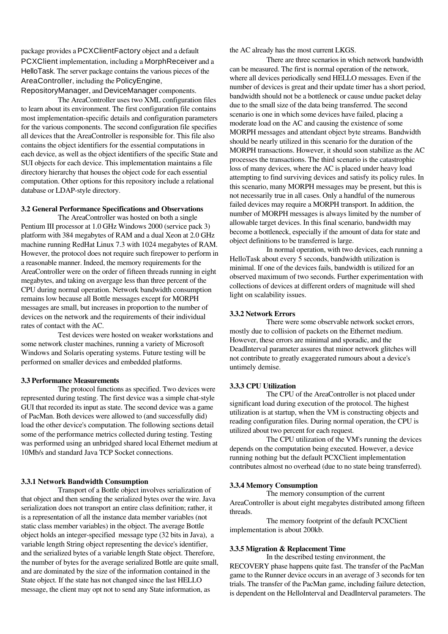package provides a PCXClientFactory object and a default PCXClient implementation, including a MorphReceiver and a HelloTask. The server package contains the various pieces of the AreaController, including the PolicyEngine,

RepositoryManager, and DeviceManager components.

The AreaController uses two XML configuration files to learn about its environment. The first configuration file contains most implementation-specific details and configuration parameters for the various components. The second configuration file specifies all devices that the AreaController is responsible for. This file also contains the object identifiers for the essential computations in each device, as well as the object identifiers of the specific State and SUI objects for each device. This implementation maintains a file directory hierarchy that houses the object code for each essential computation. Other options for this repository include a relational database or LDAP-style directory.

### 3.2 General Performance Specifications and Observations

The AreaController was hosted on both a single Pentium III processor at 1.0 GHz Windows 2000 (service pack 3) platform with 384 megabytes of RAM and a dual Xeon at 2.0 GHz machine running RedHat Linux 7.3 with 1024 megabytes of RAM. However, the protocol does not require such firepower to perform in a reasonable manner. Indeed, the memory requirements for the AreaController were on the order of fifteen threads running in eight megabytes, and taking on avergage less than three percent of the CPU during normal operation. Network bandwidth consumption remains low because all Bottle messages except for MORPH messages are small, but increases in proportion to the number of devices on the network and the requirements of their individual rates of contact with the AC.

Test devices were hosted on weaker workstations and some network cluster machines, running a variety of Microsoft Windows and Solaris operating systems. Future testing will be performed on smaller devices and embedded platforms.

# 3.3 Performance Measurements

The protocol functions as specified. Two devices were represented during testing. The first device was a simple chat-style GUI that recorded its input as state. The second device was a game of PacMan. Both devices were allowed to (and successfully did) load the other device's computation. The following sections detail some of the performance metrics collected during testing. Testing was performed using an unbridged shared local Ethernet medium at 10Mb/s and standard Java TCP Socket connections.

# 3.3.1 Network Bandwidth Consumption

Transport of a Bottle object involves serialization of that object and then sending the serialized bytes over the wire. Java serialization does not transport an entire class definition; rather, it is a representation of all the instance data member variables (not static class member variables) in the object. The average Bottle object holds an integer-specified message type (32 bits in Java), a variable length String object representing the device's identifier, and the serialized bytes of a variable length State object. Therefore, the number of bytes for the average serialized Bottle are quite small, and are dominated by the size of the information contained in the State object. If the state has not changed since the last HELLO message, the client may opt not to send any State information, as

the AC already has the most current LKGS.

There are three scenarios in which network bandwidth can be measured. The first is normal operation of the network, where all devices periodically send HELLO messages. Even if the number of devices is great and their update timer has a short period, bandwidth should not be a bottleneck or cause undue packet delay due to the small size of the data being transferred. The second scenario is one in which some devices have failed, placing a moderate load on the AC and causing the existence of some MORPH messages and attendant object byte streams. Bandwidth should be nearly utilized in this scenario for the duration of the MORPH transactions. However, it should soon stabilize as the AC processes the transactions. The third scenario is the catastrophic loss of many devices, where the AC is placed under heavy load attempting to find surviving devices and satisfy its policy rules. In this scenario, many MORPH messages may be present, but this is not necessarily true in all cases. Only a handful of the numerous failed devices may require a MORPH transport. In addition, the number of MORPH messages is always limited by the number of allowable target devices. In this final scenario, bandwidth may become a bottleneck, especially if the amount of data for state and object definitions to be transferred is large.

In normal operation, with two devices, each running a HelloTask about every 5 seconds, bandwidth utilization is minimal. If one of the devices fails, bandwidth is utilized for an observed maximum of two seconds. Further experimentation with collections of devices at different orders of magnitude will shed light on scalability issues.

#### 3.3.2 Network Errors

There were some observable network socket errors, mostly due to collision of packets on the Ethernet medium. However, these errors are minimal and sporadic, and the DeadInterval parameter assures that minor network glitches will not contribute to greatly exaggerated rumours about a device's untimely demise.

#### 3.3.3 CPU Utilization

The CPU of the AreaController is not placed under significant load during execution of the protocol. The highest utilization is at startup, when the VM is constructing objects and reading configuration files. During normal operation, the CPU is utilized about two percent for each request.

The CPU utilization of the VM's running the devices depends on the computation being executed. However, a device running nothing but the default PCXClient implementation contributes almost no overhead (due to no state being transferred).

#### 3.3.4 Memory Consumption

The memory consumption of the current AreaController is about eight megabytes distributed among fifteen threads.

The memory footprint of the default PCXClient implementation is about 200kb.

### 3.3.5 Migration & Replacement Time

In the described testing environment, the RECOVERY phase happens quite fast. The transfer of the PacMan game to the Runner device occurs in an average of 3 seconds for ten trials. The transfer of the PacMan game, including failure detection, is dependent on the HelloInterval and DeadInterval parameters. The